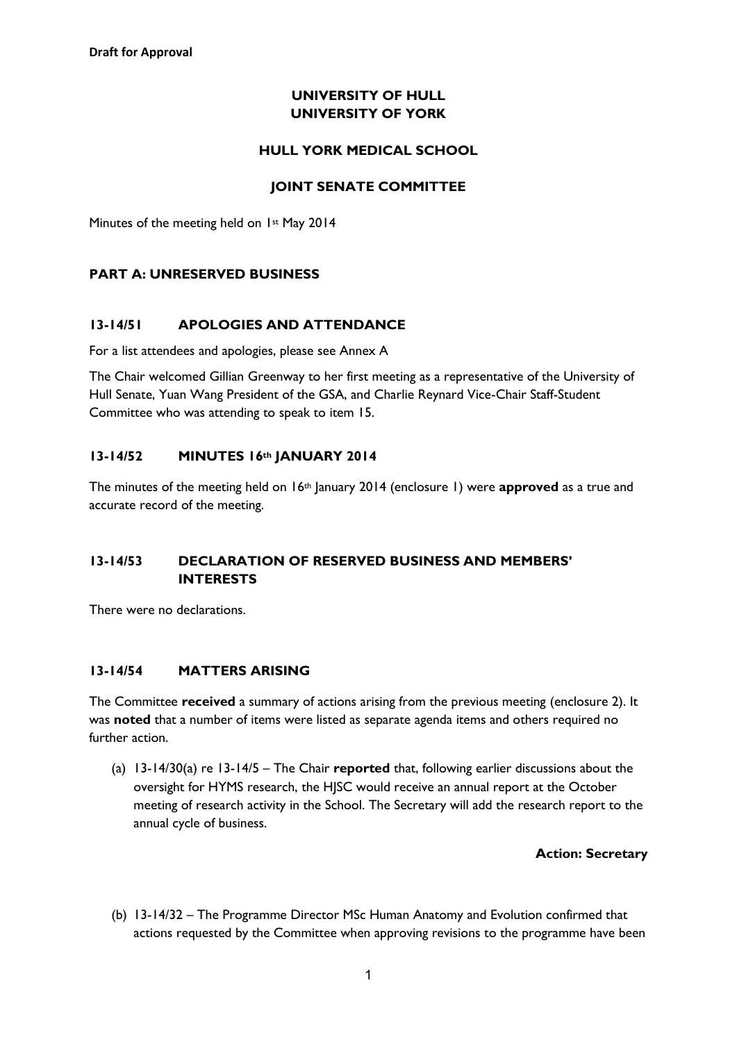### **UNIVERSITY OF HULL UNIVERSITY OF YORK**

#### **HULL YORK MEDICAL SCHOOL**

#### **JOINT SENATE COMMITTEE**

Minutes of the meeting held on 1st May 2014

### **PART A: UNRESERVED BUSINESS**

### **13-14/51 APOLOGIES AND ATTENDANCE**

For a list attendees and apologies, please see Annex A

The Chair welcomed Gillian Greenway to her first meeting as a representative of the University of Hull Senate, Yuan Wang President of the GSA, and Charlie Reynard Vice-Chair Staff-Student Committee who was attending to speak to item 15.

### **13-14/52 MINUTES 16th JANUARY 2014**

The minutes of the meeting held on 16th January 2014 (enclosure 1) were **approved** as a true and accurate record of the meeting.

# **13-14/53 DECLARATION OF RESERVED BUSINESS AND MEMBERS' INTERESTS**

There were no declarations.

#### **13-14/54 MATTERS ARISING**

The Committee **received** a summary of actions arising from the previous meeting (enclosure 2). It was **noted** that a number of items were listed as separate agenda items and others required no further action.

(a) 13-14/30(a) re 13-14/5 – The Chair **reported** that, following earlier discussions about the oversight for HYMS research, the HJSC would receive an annual report at the October meeting of research activity in the School. The Secretary will add the research report to the annual cycle of business.

#### **Action: Secretary**

(b) 13-14/32 – The Programme Director MSc Human Anatomy and Evolution confirmed that actions requested by the Committee when approving revisions to the programme have been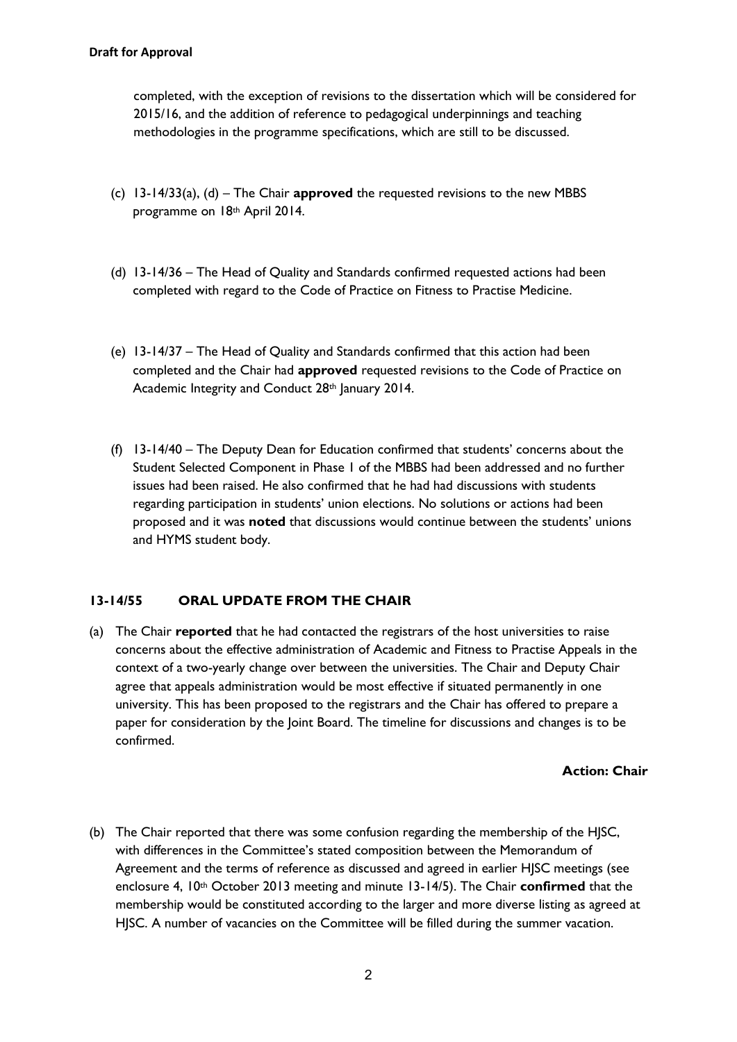completed, with the exception of revisions to the dissertation which will be considered for 2015/16, and the addition of reference to pedagogical underpinnings and teaching methodologies in the programme specifications, which are still to be discussed.

- (c) 13-14/33(a), (d) The Chair **approved** the requested revisions to the new MBBS programme on 18th April 2014.
- (d) 13-14/36 The Head of Quality and Standards confirmed requested actions had been completed with regard to the Code of Practice on Fitness to Practise Medicine.
- (e) 13-14/37 The Head of Quality and Standards confirmed that this action had been completed and the Chair had **approved** requested revisions to the Code of Practice on Academic Integrity and Conduct 28<sup>th</sup> January 2014.
- (f) 13-14/40 The Deputy Dean for Education confirmed that students' concerns about the Student Selected Component in Phase 1 of the MBBS had been addressed and no further issues had been raised. He also confirmed that he had had discussions with students regarding participation in students' union elections. No solutions or actions had been proposed and it was **noted** that discussions would continue between the students' unions and HYMS student body.

# **13-14/55 ORAL UPDATE FROM THE CHAIR**

(a) The Chair **reported** that he had contacted the registrars of the host universities to raise concerns about the effective administration of Academic and Fitness to Practise Appeals in the context of a two-yearly change over between the universities. The Chair and Deputy Chair agree that appeals administration would be most effective if situated permanently in one university. This has been proposed to the registrars and the Chair has offered to prepare a paper for consideration by the Joint Board. The timeline for discussions and changes is to be confirmed.

#### **Action: Chair**

(b) The Chair reported that there was some confusion regarding the membership of the HJSC, with differences in the Committee's stated composition between the Memorandum of Agreement and the terms of reference as discussed and agreed in earlier HJSC meetings (see enclosure 4, 10<sup>th</sup> October 2013 meeting and minute 13-14/5). The Chair **confirmed** that the membership would be constituted according to the larger and more diverse listing as agreed at HJSC. A number of vacancies on the Committee will be filled during the summer vacation.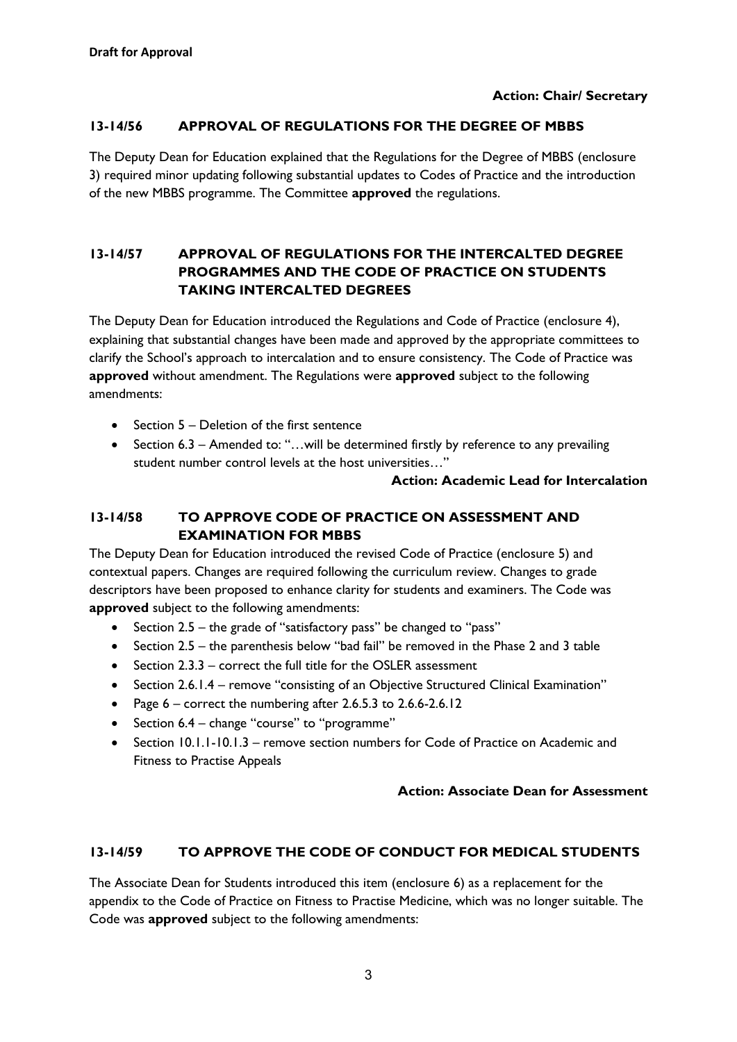### **Action: Chair/ Secretary**

### **13-14/56 APPROVAL OF REGULATIONS FOR THE DEGREE OF MBBS**

The Deputy Dean for Education explained that the Regulations for the Degree of MBBS (enclosure 3) required minor updating following substantial updates to Codes of Practice and the introduction of the new MBBS programme. The Committee **approved** the regulations.

# **13-14/57 APPROVAL OF REGULATIONS FOR THE INTERCALTED DEGREE PROGRAMMES AND THE CODE OF PRACTICE ON STUDENTS TAKING INTERCALTED DEGREES**

The Deputy Dean for Education introduced the Regulations and Code of Practice (enclosure 4), explaining that substantial changes have been made and approved by the appropriate committees to clarify the School's approach to intercalation and to ensure consistency. The Code of Practice was **approved** without amendment. The Regulations were **approved** subject to the following amendments:

- Section 5 Deletion of the first sentence
- Section 6.3 Amended to: "...will be determined firstly by reference to any prevailing student number control levels at the host universities…"

#### **Action: Academic Lead for Intercalation**

# **13-14/58 TO APPROVE CODE OF PRACTICE ON ASSESSMENT AND EXAMINATION FOR MBBS**

The Deputy Dean for Education introduced the revised Code of Practice (enclosure 5) and contextual papers. Changes are required following the curriculum review. Changes to grade descriptors have been proposed to enhance clarity for students and examiners. The Code was **approved** subject to the following amendments:

- Section 2.5 the grade of "satisfactory pass" be changed to "pass"
- $\bullet$  Section 2.5 the parenthesis below "bad fail" be removed in the Phase 2 and 3 table
- Section 2.3.3 correct the full title for the OSLER assessment
- Section 2.6.1.4 remove "consisting of an Objective Structured Clinical Examination"
- Page  $6$  correct the numbering after 2.6.5.3 to 2.6.6-2.6.12
- Section 6.4 change "course" to "programme"
- Section 10.1.1-10.1.3 remove section numbers for Code of Practice on Academic and Fitness to Practise Appeals

#### **Action: Associate Dean for Assessment**

# **13-14/59 TO APPROVE THE CODE OF CONDUCT FOR MEDICAL STUDENTS**

The Associate Dean for Students introduced this item (enclosure 6) as a replacement for the appendix to the Code of Practice on Fitness to Practise Medicine, which was no longer suitable. The Code was **approved** subject to the following amendments: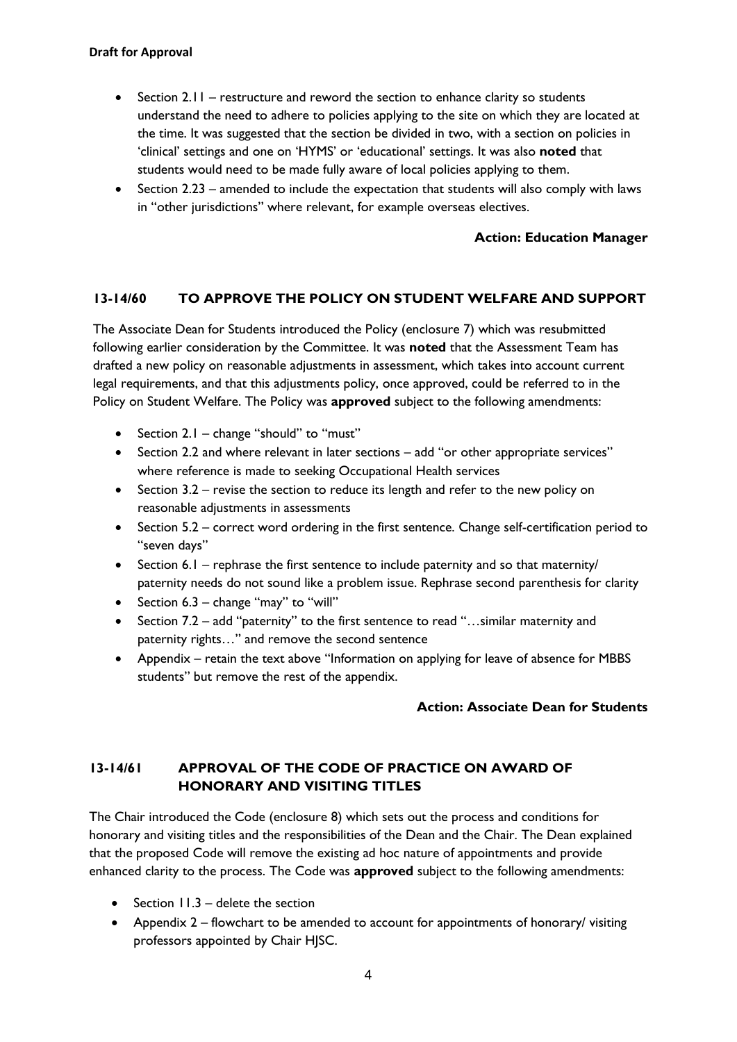#### **Draft for Approval**

- Section 2.11 restructure and reword the section to enhance clarity so students understand the need to adhere to policies applying to the site on which they are located at the time. It was suggested that the section be divided in two, with a section on policies in 'clinical' settings and one on 'HYMS' or 'educational' settings. It was also **noted** that students would need to be made fully aware of local policies applying to them.
- $\bullet$  Section 2.23 amended to include the expectation that students will also comply with laws in "other jurisdictions" where relevant, for example overseas electives.

#### **Action: Education Manager**

### **13-14/60 TO APPROVE THE POLICY ON STUDENT WELFARE AND SUPPORT**

The Associate Dean for Students introduced the Policy (enclosure 7) which was resubmitted following earlier consideration by the Committee. It was **noted** that the Assessment Team has drafted a new policy on reasonable adjustments in assessment, which takes into account current legal requirements, and that this adjustments policy, once approved, could be referred to in the Policy on Student Welfare. The Policy was **approved** subject to the following amendments:

- Section 2.1 change "should" to "must"
- Section 2.2 and where relevant in later sections add "or other appropriate services" where reference is made to seeking Occupational Health services
- $\bullet$  Section 3.2 revise the section to reduce its length and refer to the new policy on reasonable adjustments in assessments
- Section 5.2 correct word ordering in the first sentence. Change self-certification period to "seven days"
- $\bullet$  Section 6.1 rephrase the first sentence to include paternity and so that maternity/ paternity needs do not sound like a problem issue. Rephrase second parenthesis for clarity
- Section  $6.3$  change "may" to "will"
- Section 7.2 add "paternity" to the first sentence to read "…similar maternity and paternity rights…" and remove the second sentence
- Appendix retain the text above "Information on applying for leave of absence for MBBS students" but remove the rest of the appendix.

#### **Action: Associate Dean for Students**

# **13-14/61 APPROVAL OF THE CODE OF PRACTICE ON AWARD OF HONORARY AND VISITING TITLES**

The Chair introduced the Code (enclosure 8) which sets out the process and conditions for honorary and visiting titles and the responsibilities of the Dean and the Chair. The Dean explained that the proposed Code will remove the existing ad hoc nature of appointments and provide enhanced clarity to the process. The Code was **approved** subject to the following amendments:

- $\bullet$  Section 11.3 delete the section
- Appendix 2 flowchart to be amended to account for appointments of honorary/ visiting professors appointed by Chair HJSC.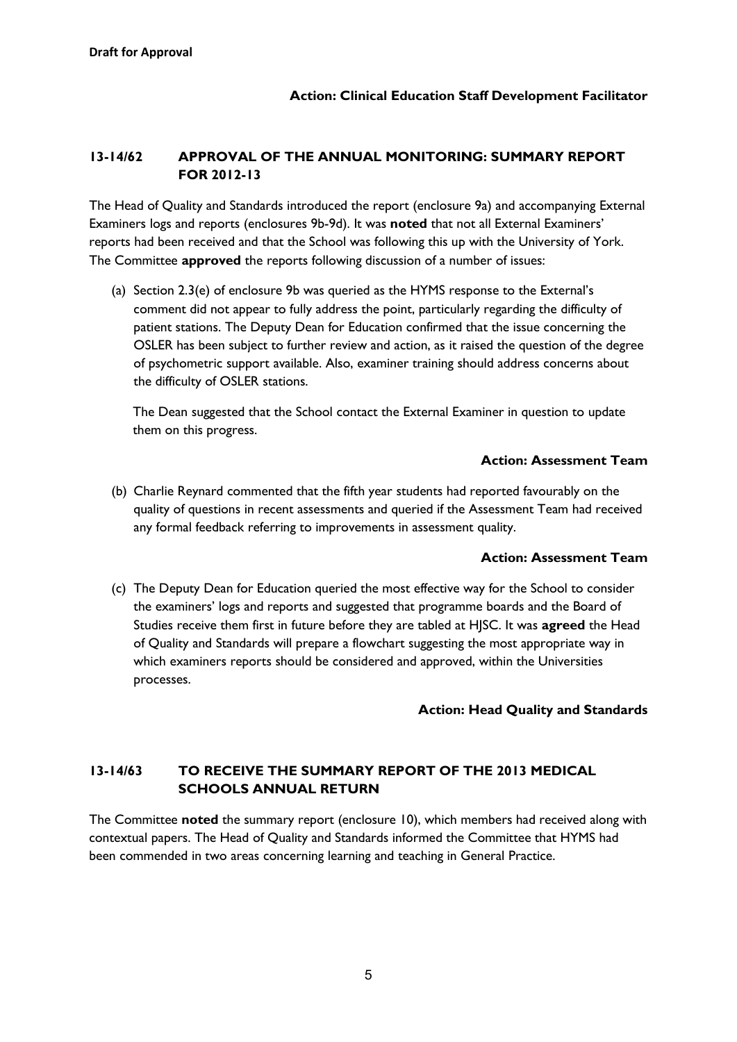# **13-14/62 APPROVAL OF THE ANNUAL MONITORING: SUMMARY REPORT FOR 2012-13**

The Head of Quality and Standards introduced the report (enclosure 9a) and accompanying External Examiners logs and reports (enclosures 9b-9d). It was **noted** that not all External Examiners' reports had been received and that the School was following this up with the University of York. The Committee **approved** the reports following discussion of a number of issues:

(a) Section 2.3(e) of enclosure 9b was queried as the HYMS response to the External's comment did not appear to fully address the point, particularly regarding the difficulty of patient stations. The Deputy Dean for Education confirmed that the issue concerning the OSLER has been subject to further review and action, as it raised the question of the degree of psychometric support available. Also, examiner training should address concerns about the difficulty of OSLER stations.

The Dean suggested that the School contact the External Examiner in question to update them on this progress.

#### **Action: Assessment Team**

(b) Charlie Reynard commented that the fifth year students had reported favourably on the quality of questions in recent assessments and queried if the Assessment Team had received any formal feedback referring to improvements in assessment quality.

#### **Action: Assessment Team**

(c) The Deputy Dean for Education queried the most effective way for the School to consider the examiners' logs and reports and suggested that programme boards and the Board of Studies receive them first in future before they are tabled at HJSC. It was **agreed** the Head of Quality and Standards will prepare a flowchart suggesting the most appropriate way in which examiners reports should be considered and approved, within the Universities processes.

# **Action: Head Quality and Standards**

# **13-14/63 TO RECEIVE THE SUMMARY REPORT OF THE 2013 MEDICAL SCHOOLS ANNUAL RETURN**

The Committee **noted** the summary report (enclosure 10), which members had received along with contextual papers. The Head of Quality and Standards informed the Committee that HYMS had been commended in two areas concerning learning and teaching in General Practice.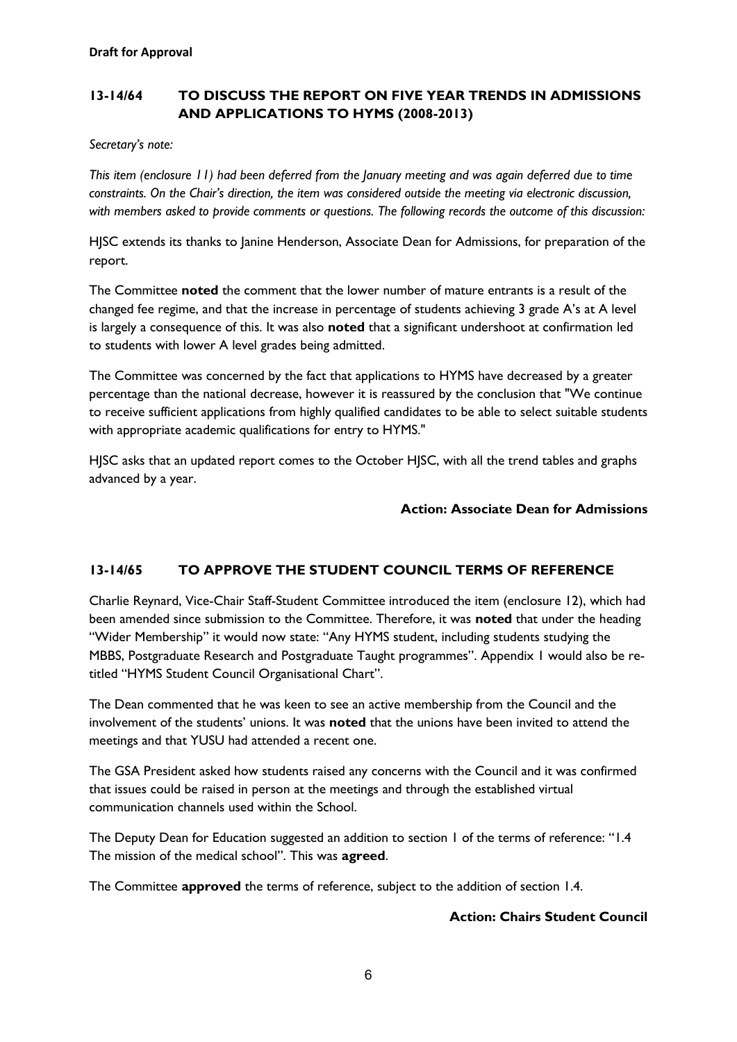# **13-14/64 TO DISCUSS THE REPORT ON FIVE YEAR TRENDS IN ADMISSIONS AND APPLICATIONS TO HYMS (2008-2013)**

*Secretary's note:* 

*This item (enclosure 11) had been deferred from the January meeting and was again deferred due to time constraints. On the Chair's direction, the item was considered outside the meeting via electronic discussion, with members asked to provide comments or questions. The following records the outcome of this discussion:*

HJSC extends its thanks to Janine Henderson, Associate Dean for Admissions, for preparation of the report.

The Committee **noted** the comment that the lower number of mature entrants is a result of the changed fee regime, and that the increase in percentage of students achieving 3 grade A's at A level is largely a consequence of this. It was also **noted** that a significant undershoot at confirmation led to students with lower A level grades being admitted.

The Committee was concerned by the fact that applications to HYMS have decreased by a greater percentage than the national decrease, however it is reassured by the conclusion that "We continue to receive sufficient applications from highly qualified candidates to be able to select suitable students with appropriate academic qualifications for entry to HYMS."

HJSC asks that an updated report comes to the October HJSC, with all the trend tables and graphs advanced by a year.

# **Action: Associate Dean for Admissions**

# **13-14/65 TO APPROVE THE STUDENT COUNCIL TERMS OF REFERENCE**

Charlie Reynard, Vice-Chair Staff-Student Committee introduced the item (enclosure 12), which had been amended since submission to the Committee. Therefore, it was **noted** that under the heading "Wider Membership" it would now state: "Any HYMS student, including students studying the MBBS, Postgraduate Research and Postgraduate Taught programmes". Appendix 1 would also be retitled "HYMS Student Council Organisational Chart".

The Dean commented that he was keen to see an active membership from the Council and the involvement of the students' unions. It was **noted** that the unions have been invited to attend the meetings and that YUSU had attended a recent one.

The GSA President asked how students raised any concerns with the Council and it was confirmed that issues could be raised in person at the meetings and through the established virtual communication channels used within the School.

The Deputy Dean for Education suggested an addition to section 1 of the terms of reference: "1.4 The mission of the medical school". This was **agreed**.

The Committee **approved** the terms of reference, subject to the addition of section 1.4.

#### **Action: Chairs Student Council**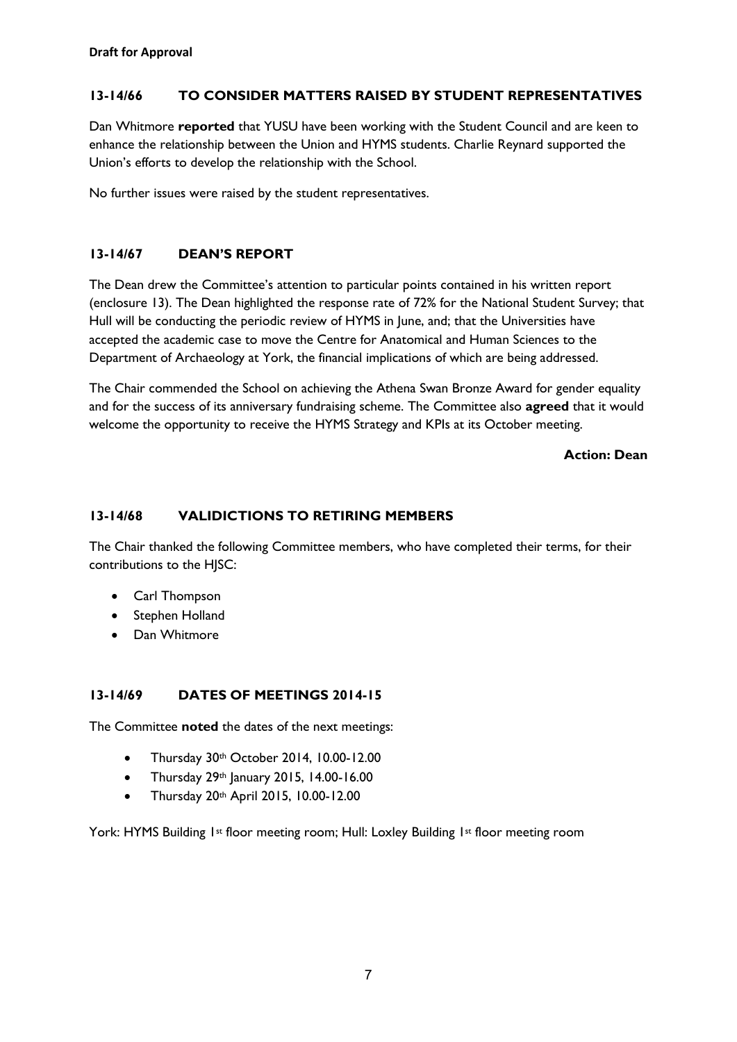# **13-14/66 TO CONSIDER MATTERS RAISED BY STUDENT REPRESENTATIVES**

Dan Whitmore **reported** that YUSU have been working with the Student Council and are keen to enhance the relationship between the Union and HYMS students. Charlie Reynard supported the Union's efforts to develop the relationship with the School.

No further issues were raised by the student representatives.

# **13-14/67 DEAN'S REPORT**

The Dean drew the Committee's attention to particular points contained in his written report (enclosure 13). The Dean highlighted the response rate of 72% for the National Student Survey; that Hull will be conducting the periodic review of HYMS in June, and; that the Universities have accepted the academic case to move the Centre for Anatomical and Human Sciences to the Department of Archaeology at York, the financial implications of which are being addressed.

The Chair commended the School on achieving the Athena Swan Bronze Award for gender equality and for the success of its anniversary fundraising scheme. The Committee also **agreed** that it would welcome the opportunity to receive the HYMS Strategy and KPIs at its October meeting.

#### **Action: Dean**

### **13-14/68 VALIDICTIONS TO RETIRING MEMBERS**

The Chair thanked the following Committee members, who have completed their terms, for their contributions to the HJSC:

- Carl Thompson
- Stephen Holland
- Dan Whitmore

# **13-14/69 DATES OF MEETINGS 2014-15**

The Committee **noted** the dates of the next meetings:

- Thursday 30th October 2014, 10.00-12.00
- Thursday  $29<sup>th</sup>$  January 2015, 14.00-16.00
- Thursday 20th April 2015, 10.00-12.00

York: HYMS Building 1st floor meeting room; Hull: Loxley Building 1st floor meeting room